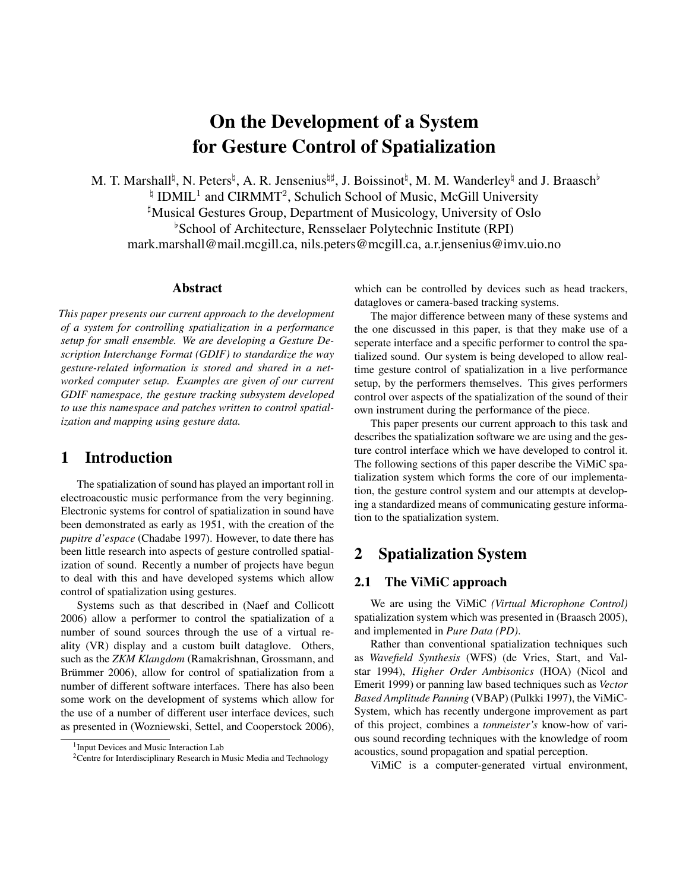# On the Development of a System for Gesture Control of Spatialization

M. T. Marshall<sup>t</sup>, N. Peters<sup>t</sup>, A. R. Jensenius<sup>t<sub>#</sub>, J. Boissinot<sup>†</sup>, M. M. Wanderley<sup>t</sup> and J. Braasch<sup>b</sup></sup>  $\frac{1}{4}$  IDMIL<sup>1</sup> and CIRMMT<sup>2</sup>, Schulich School of Music, McGill University ]Musical Gestures Group, Department of Musicology, University of Oslo  $\beta$ School of Architecture, Rensselaer Polytechnic Institute (RPI) mark.marshall@mail.mcgill.ca, nils.peters@mcgill.ca, a.r.jensenius@imv.uio.no

#### Abstract

*This paper presents our current approach to the development of a system for controlling spatialization in a performance setup for small ensemble. We are developing a Gesture Description Interchange Format (GDIF) to standardize the way gesture-related information is stored and shared in a networked computer setup. Examples are given of our current GDIF namespace, the gesture tracking subsystem developed to use this namespace and patches written to control spatialization and mapping using gesture data.*

## 1 Introduction

The spatialization of sound has played an important roll in electroacoustic music performance from the very beginning. Electronic systems for control of spatialization in sound have been demonstrated as early as 1951, with the creation of the *pupitre d'espace* (Chadabe 1997). However, to date there has been little research into aspects of gesture controlled spatialization of sound. Recently a number of projects have begun to deal with this and have developed systems which allow control of spatialization using gestures.

Systems such as that described in (Naef and Collicott 2006) allow a performer to control the spatialization of a number of sound sources through the use of a virtual reality (VR) display and a custom built dataglove. Others, such as the *ZKM Klangdom* (Ramakrishnan, Grossmann, and Brümmer 2006), allow for control of spatialization from a number of different software interfaces. There has also been some work on the development of systems which allow for the use of a number of different user interface devices, such as presented in (Wozniewski, Settel, and Cooperstock 2006), which can be controlled by devices such as head trackers, datagloves or camera-based tracking systems.

The major difference between many of these systems and the one discussed in this paper, is that they make use of a seperate interface and a specific performer to control the spatialized sound. Our system is being developed to allow realtime gesture control of spatialization in a live performance setup, by the performers themselves. This gives performers control over aspects of the spatialization of the sound of their own instrument during the performance of the piece.

This paper presents our current approach to this task and describes the spatialization software we are using and the gesture control interface which we have developed to control it. The following sections of this paper describe the ViMiC spatialization system which forms the core of our implementation, the gesture control system and our attempts at developing a standardized means of communicating gesture information to the spatialization system.

## 2 Spatialization System

#### 2.1 The ViMiC approach

We are using the ViMiC *(Virtual Microphone Control)* spatialization system which was presented in (Braasch 2005), and implemented in *Pure Data (PD)*.

Rather than conventional spatialization techniques such as *Wavefield Synthesis* (WFS) (de Vries, Start, and Valstar 1994), *Higher Order Ambisonics* (HOA) (Nicol and Emerit 1999) or panning law based techniques such as *Vector Based Amplitude Panning* (VBAP) (Pulkki 1997), the ViMiC-System, which has recently undergone improvement as part of this project, combines a *tonmeister's* know-how of various sound recording techniques with the knowledge of room acoustics, sound propagation and spatial perception.

ViMiC is a computer-generated virtual environment,

<sup>1</sup> Input Devices and Music Interaction Lab

<sup>&</sup>lt;sup>2</sup>Centre for Interdisciplinary Research in Music Media and Technology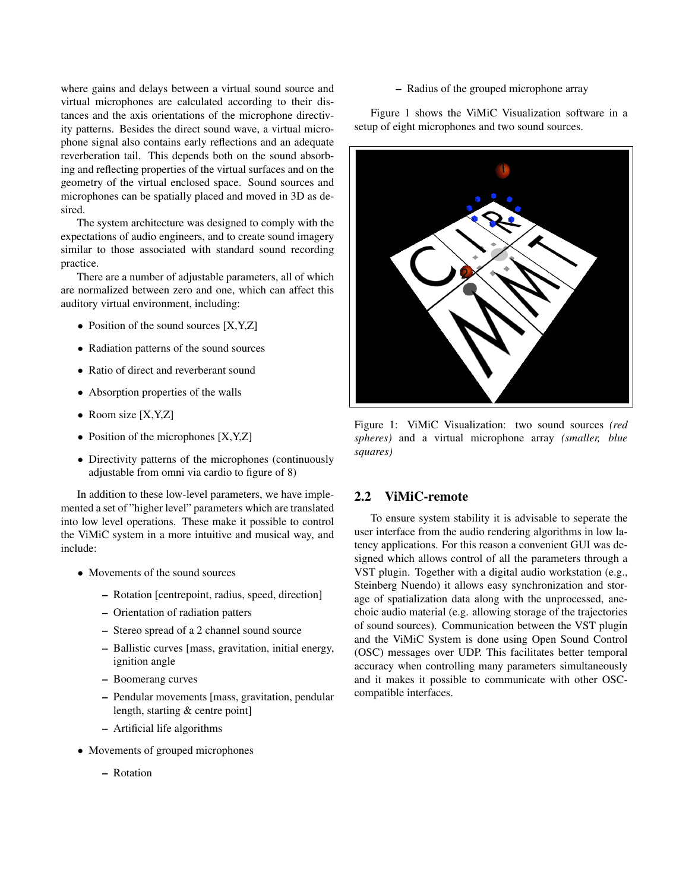where gains and delays between a virtual sound source and virtual microphones are calculated according to their distances and the axis orientations of the microphone directivity patterns. Besides the direct sound wave, a virtual microphone signal also contains early reflections and an adequate reverberation tail. This depends both on the sound absorbing and reflecting properties of the virtual surfaces and on the geometry of the virtual enclosed space. Sound sources and microphones can be spatially placed and moved in 3D as desired.

The system architecture was designed to comply with the expectations of audio engineers, and to create sound imagery similar to those associated with standard sound recording practice.

There are a number of adjustable parameters, all of which are normalized between zero and one, which can affect this auditory virtual environment, including:

- Position of the sound sources [X,Y,Z]
- Radiation patterns of the sound sources
- Ratio of direct and reverberant sound
- Absorption properties of the walls
- Room size [X,Y,Z]
- Position of the microphones [X,Y,Z]
- Directivity patterns of the microphones (continuously adjustable from omni via cardio to figure of 8)

In addition to these low-level parameters, we have implemented a set of "higher level" parameters which are translated into low level operations. These make it possible to control the ViMiC system in a more intuitive and musical way, and include:

- Movements of the sound sources
	- Rotation [centrepoint, radius, speed, direction]
	- Orientation of radiation patters
	- Stereo spread of a 2 channel sound source
	- Ballistic curves [mass, gravitation, initial energy, ignition angle
	- Boomerang curves
	- Pendular movements [mass, gravitation, pendular length, starting & centre point]
	- Artificial life algorithms
- Movements of grouped microphones
	- Rotation

#### – Radius of the grouped microphone array

Figure 1 shows the ViMiC Visualization software in a setup of eight microphones and two sound sources.



Figure 1: ViMiC Visualization: two sound sources *(red spheres)* and a virtual microphone array *(smaller, blue squares)*

#### 2.2 ViMiC-remote

To ensure system stability it is advisable to seperate the user interface from the audio rendering algorithms in low latency applications. For this reason a convenient GUI was designed which allows control of all the parameters through a VST plugin. Together with a digital audio workstation (e.g., Steinberg Nuendo) it allows easy synchronization and storage of spatialization data along with the unprocessed, anechoic audio material (e.g. allowing storage of the trajectories of sound sources). Communication between the VST plugin and the ViMiC System is done using Open Sound Control (OSC) messages over UDP. This facilitates better temporal accuracy when controlling many parameters simultaneously and it makes it possible to communicate with other OSCcompatible interfaces.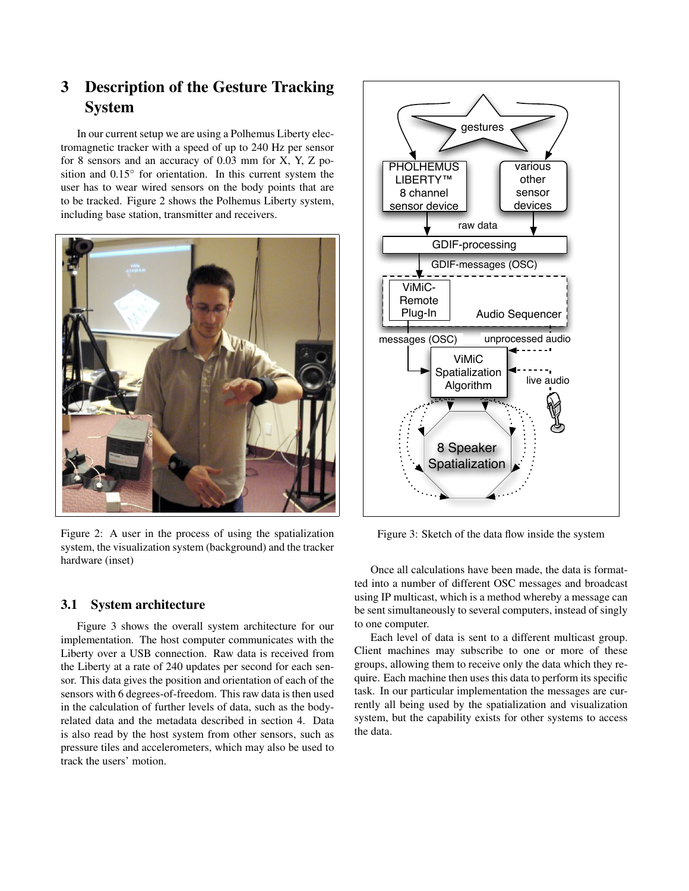## 3 Description of the Gesture Tracking System

In our current setup we are using a Polhemus Liberty electromagnetic tracker with a speed of up to 240 Hz per sensor for 8 sensors and an accuracy of 0.03 mm for X, Y, Z position and 0.15° for orientation. In this current system the user has to wear wired sensors on the body points that are to be tracked. Figure 2 shows the Polhemus Liberty system, including base station, transmitter and receivers.



Figure 2: A user in the process of using the spatialization system, the visualization system (background) and the tracker hardware (inset)

#### 3.1 System architecture

Figure 3 shows the overall system architecture for our implementation. The host computer communicates with the Liberty over a USB connection. Raw data is received from the Liberty at a rate of 240 updates per second for each sensor. This data gives the position and orientation of each of the sensors with 6 degrees-of-freedom. This raw data is then used in the calculation of further levels of data, such as the bodyrelated data and the metadata described in section 4. Data is also read by the host system from other sensors, such as pressure tiles and accelerometers, which may also be used to track the users' motion.



Figure 3: Sketch of the data flow inside the system

Once all calculations have been made, the data is formatted into a number of different OSC messages and broadcast using IP multicast, which is a method whereby a message can be sent simultaneously to several computers, instead of singly to one computer.

Each level of data is sent to a different multicast group. Client machines may subscribe to one or more of these groups, allowing them to receive only the data which they require. Each machine then uses this data to perform its specific task. In our particular implementation the messages are currently all being used by the spatialization and visualization system, but the capability exists for other systems to access the data.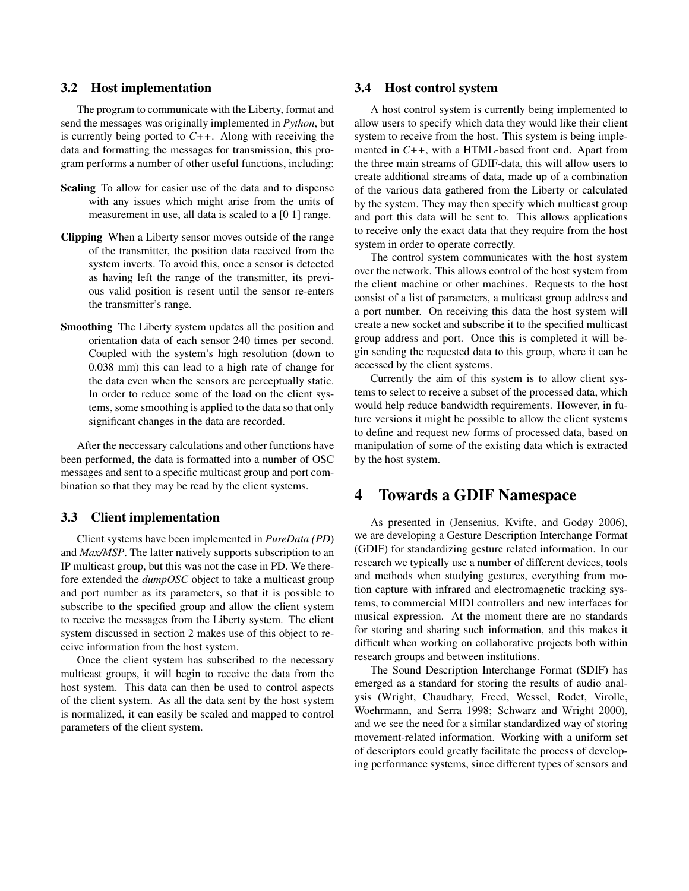#### 3.2 Host implementation

The program to communicate with the Liberty, format and send the messages was originally implemented in *Python*, but is currently being ported to *C++*. Along with receiving the data and formatting the messages for transmission, this program performs a number of other useful functions, including:

- Scaling To allow for easier use of the data and to dispense with any issues which might arise from the units of measurement in use, all data is scaled to a [0 1] range.
- Clipping When a Liberty sensor moves outside of the range of the transmitter, the position data received from the system inverts. To avoid this, once a sensor is detected as having left the range of the transmitter, its previous valid position is resent until the sensor re-enters the transmitter's range.
- Smoothing The Liberty system updates all the position and orientation data of each sensor 240 times per second. Coupled with the system's high resolution (down to 0.038 mm) this can lead to a high rate of change for the data even when the sensors are perceptually static. In order to reduce some of the load on the client systems, some smoothing is applied to the data so that only significant changes in the data are recorded.

After the neccessary calculations and other functions have been performed, the data is formatted into a number of OSC messages and sent to a specific multicast group and port combination so that they may be read by the client systems.

#### 3.3 Client implementation

Client systems have been implemented in *PureData (PD*) and *Max/MSP*. The latter natively supports subscription to an IP multicast group, but this was not the case in PD. We therefore extended the *dumpOSC* object to take a multicast group and port number as its parameters, so that it is possible to subscribe to the specified group and allow the client system to receive the messages from the Liberty system. The client system discussed in section 2 makes use of this object to receive information from the host system.

Once the client system has subscribed to the necessary multicast groups, it will begin to receive the data from the host system. This data can then be used to control aspects of the client system. As all the data sent by the host system is normalized, it can easily be scaled and mapped to control parameters of the client system.

#### 3.4 Host control system

A host control system is currently being implemented to allow users to specify which data they would like their client system to receive from the host. This system is being implemented in *C++*, with a HTML-based front end. Apart from the three main streams of GDIF-data, this will allow users to create additional streams of data, made up of a combination of the various data gathered from the Liberty or calculated by the system. They may then specify which multicast group and port this data will be sent to. This allows applications to receive only the exact data that they require from the host system in order to operate correctly.

The control system communicates with the host system over the network. This allows control of the host system from the client machine or other machines. Requests to the host consist of a list of parameters, a multicast group address and a port number. On receiving this data the host system will create a new socket and subscribe it to the specified multicast group address and port. Once this is completed it will begin sending the requested data to this group, where it can be accessed by the client systems.

Currently the aim of this system is to allow client systems to select to receive a subset of the processed data, which would help reduce bandwidth requirements. However, in future versions it might be possible to allow the client systems to define and request new forms of processed data, based on manipulation of some of the existing data which is extracted by the host system.

## 4 Towards a GDIF Namespace

As presented in (Jensenius, Kvifte, and Godøy 2006), we are developing a Gesture Description Interchange Format (GDIF) for standardizing gesture related information. In our research we typically use a number of different devices, tools and methods when studying gestures, everything from motion capture with infrared and electromagnetic tracking systems, to commercial MIDI controllers and new interfaces for musical expression. At the moment there are no standards for storing and sharing such information, and this makes it difficult when working on collaborative projects both within research groups and between institutions.

The Sound Description Interchange Format (SDIF) has emerged as a standard for storing the results of audio analysis (Wright, Chaudhary, Freed, Wessel, Rodet, Virolle, Woehrmann, and Serra 1998; Schwarz and Wright 2000), and we see the need for a similar standardized way of storing movement-related information. Working with a uniform set of descriptors could greatly facilitate the process of developing performance systems, since different types of sensors and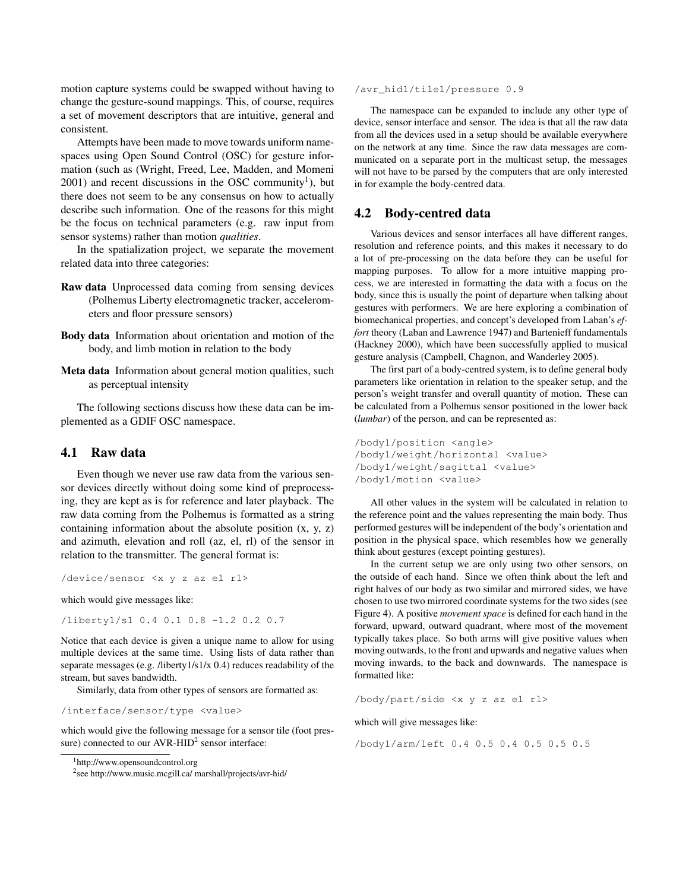motion capture systems could be swapped without having to change the gesture-sound mappings. This, of course, requires a set of movement descriptors that are intuitive, general and consistent.

Attempts have been made to move towards uniform namespaces using Open Sound Control (OSC) for gesture information (such as (Wright, Freed, Lee, Madden, and Momeni  $2001$ ) and recent discussions in the OSC community<sup>1</sup>), but there does not seem to be any consensus on how to actually describe such information. One of the reasons for this might be the focus on technical parameters (e.g. raw input from sensor systems) rather than motion *qualities*.

In the spatialization project, we separate the movement related data into three categories:

- Raw data Unprocessed data coming from sensing devices (Polhemus Liberty electromagnetic tracker, accelerometers and floor pressure sensors)
- Body data Information about orientation and motion of the body, and limb motion in relation to the body
- Meta data Information about general motion qualities, such as perceptual intensity

The following sections discuss how these data can be implemented as a GDIF OSC namespace.

#### 4.1 Raw data

Even though we never use raw data from the various sensor devices directly without doing some kind of preprocessing, they are kept as is for reference and later playback. The raw data coming from the Polhemus is formatted as a string containing information about the absolute position (x, y, z) and azimuth, elevation and roll (az, el, rl) of the sensor in relation to the transmitter. The general format is:

/device/sensor <x y z az el rl>

which would give messages like:

/liberty1/s1 0.4 0.1 0.8 -1.2 0.2 0.7

Notice that each device is given a unique name to allow for using multiple devices at the same time. Using lists of data rather than separate messages (e.g. /liberty1/s1/x 0.4) reduces readability of the stream, but saves bandwidth.

Similarly, data from other types of sensors are formatted as:

/interface/sensor/type <value>

which would give the following message for a sensor tile (foot pressure) connected to our  $AVR-HID<sup>2</sup>$  sensor interface:

/avr hid1/tile1/pressure 0.9

The namespace can be expanded to include any other type of device, sensor interface and sensor. The idea is that all the raw data from all the devices used in a setup should be available everywhere on the network at any time. Since the raw data messages are communicated on a separate port in the multicast setup, the messages will not have to be parsed by the computers that are only interested in for example the body-centred data.

#### 4.2 Body-centred data

Various devices and sensor interfaces all have different ranges, resolution and reference points, and this makes it necessary to do a lot of pre-processing on the data before they can be useful for mapping purposes. To allow for a more intuitive mapping process, we are interested in formatting the data with a focus on the body, since this is usually the point of departure when talking about gestures with performers. We are here exploring a combination of biomechanical properties, and concept's developed from Laban's *effort* theory (Laban and Lawrence 1947) and Bartenieff fundamentals (Hackney 2000), which have been successfully applied to musical gesture analysis (Campbell, Chagnon, and Wanderley 2005).

The first part of a body-centred system, is to define general body parameters like orientation in relation to the speaker setup, and the person's weight transfer and overall quantity of motion. These can be calculated from a Polhemus sensor positioned in the lower back (*lumbar*) of the person, and can be represented as:

```
/body1/position <angle>
/body1/weight/horizontal <value>
/body1/weight/sagittal <value>
/body1/motion <value>
```
All other values in the system will be calculated in relation to the reference point and the values representing the main body. Thus performed gestures will be independent of the body's orientation and position in the physical space, which resembles how we generally think about gestures (except pointing gestures).

In the current setup we are only using two other sensors, on the outside of each hand. Since we often think about the left and right halves of our body as two similar and mirrored sides, we have chosen to use two mirrored coordinate systems for the two sides (see Figure 4). A positive *movement space* is defined for each hand in the forward, upward, outward quadrant, where most of the movement typically takes place. So both arms will give positive values when moving outwards, to the front and upwards and negative values when moving inwards, to the back and downwards. The namespace is formatted like:

/body/part/side <x y z az el rl>

which will give messages like:

/body1/arm/left 0.4 0.5 0.4 0.5 0.5 0.5

<sup>1</sup>http://www.opensoundcontrol.org

<sup>2</sup> see http://www.music.mcgill.ca/ marshall/projects/avr-hid/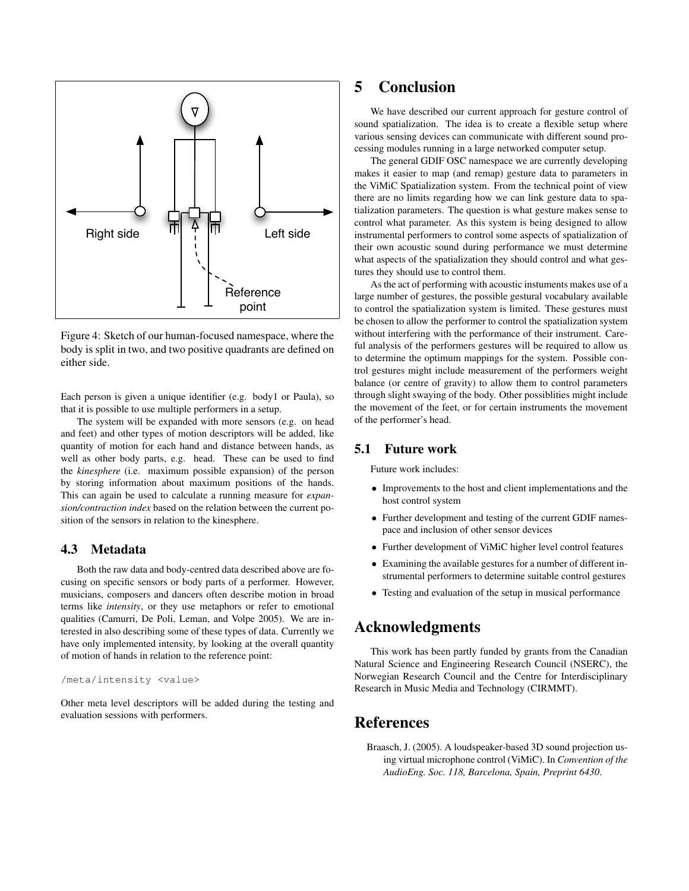

Figure 4: Sketch of our human-focused namespace, where the body is split in two, and two positive quadrants are defined on either side.

Each person is given a unique identifier (e.g. body1 or Paula), so that it is possible to use multiple performers in a setup.

The system will be expanded with more sensors (e.g. on head and feet) and other types of motion descriptors will be added, like quantity of motion for each hand and distance between hands, as well as other body parts, e.g. head. These can be used to find the *kinesphere* (i.e. maximum possible expansion) of the person by storing information about maximum positions of the hands. This can again be used to calculate a running measure for *expansion/contraction index* based on the relation between the current position of the sensors in relation to the kinesphere.

#### 4.3 Metadata

Both the raw data and body-centred data described above are focusing on specific sensors or body parts of a performer. However, musicians, composers and dancers often describe motion in broad terms like *intensity*, or they use metaphors or refer to emotional qualities (Camurri, De Poli, Leman, and Volpe 2005). We are interested in also describing some of these types of data. Currently we have only implemented intensity, by looking at the overall quantity of motion of hands in relation to the reference point:

```
/meta/intensity <value>
```
Other meta level descriptors will be added during the testing and evaluation sessions with performers.

## 5 Conclusion

We have described our current approach for gesture control of sound spatialization. The idea is to create a flexible setup where various sensing devices can communicate with different sound processing modules running in a large networked computer setup.

The general GDIF OSC namespace we are currently developing makes it easier to map (and remap) gesture data to parameters in the ViMiC Spatialization system. From the technical point of view there are no limits regarding how we can link gesture data to spatialization parameters. The question is what gesture makes sense to control what parameter. As this system is being designed to allow instrumental performers to control some aspects of spatialization of their own acoustic sound during performance we must determine what aspects of the spatialization they should control and what gestures they should use to control them.

As the act of performing with acoustic instuments makes use of a large number of gestures, the possible gestural vocabulary available to control the spatialization system is limited. These gestures must be chosen to allow the performer to control the spatialization system without interfering with the performance of their instrument. Careful analysis of the performers gestures will be required to allow us to determine the optimum mappings for the system. Possible control gestures might include measurement of the performers weight balance (or centre of gravity) to allow them to control parameters through slight swaying of the body. Other possiblities might include the movement of the feet, or for certain instruments the movement of the performer's head.

#### 5.1 Future work

Future work includes:

- Improvements to the host and client implementations and the host control system
- Further development and testing of the current GDIF namespace and inclusion of other sensor devices
- Further development of ViMiC higher level control features
- Examining the available gestures for a number of different instrumental performers to determine suitable control gestures
- Testing and evaluation of the setup in musical performance

## Acknowledgments

This work has been partly funded by grants from the Canadian Natural Science and Engineering Research Council (NSERC), the Norwegian Research Council and the Centre for Interdisciplinary Research in Music Media and Technology (CIRMMT).

## References

Braasch, J. (2005). A loudspeaker-based 3D sound projection using virtual microphone control (ViMiC). In *Convention of the AudioEng. Soc. 118, Barcelona, Spain, Preprint 6430*.